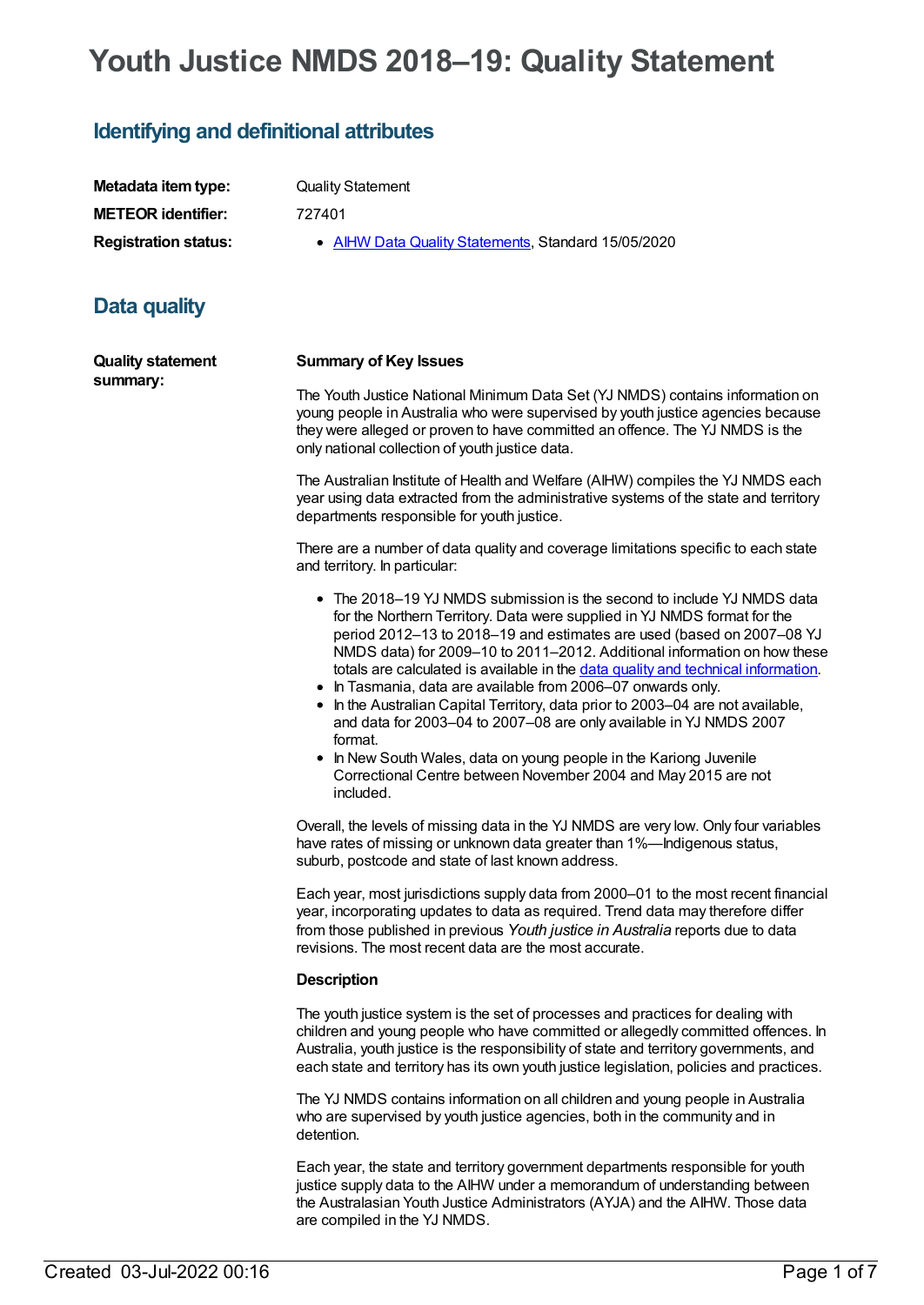# **Youth Justice NMDS 2018–19: Quality Statement**

# **Identifying and definitional attributes**

| Metadata item type:         | <b>Quality Statement</b>                            |
|-----------------------------|-----------------------------------------------------|
| <b>METEOR identifier:</b>   | 727401                                              |
| <b>Registration status:</b> | • AIHW Data Quality Statements, Standard 15/05/2020 |

# **Data quality**

| <b>Quality statement</b> |  |
|--------------------------|--|
| summary:                 |  |

#### **Summary of Key Issues**

The Youth Justice National Minimum Data Set (YJ NMDS) contains information on young people in Australia who were supervised by youth justice agencies because they were alleged or proven to have committed an offence. The YJ NMDS is the only national collection of youth justice data.

The Australian Institute of Health and Welfare (AIHW) compiles the YJ NMDS each year using data extracted from the administrative systems of the state and territory departments responsible for youth justice.

There are a number of data quality and coverage limitations specific to each state and territory. In particular:

- The 2018–19 YJ NMDS submission is the second to include YJ NMDS data for the Northern Territory. Data were supplied in YJ NMDS format for the period 2012–13 to 2018–19 and estimates are used (based on 2007–08 YJ NMDS data) for 2009–10 to 2011–2012. Additional information on how these totals are calculated is available in the data quality and technical [information](https://www.aihw.gov.au/about-our-data/our-data-collections/juvenile-justice-national-minimum-data-set/data-quality-technical-information).
- In Tasmania, data are available from 2006-07 onwards only.
- In the Australian Capital Territory, data prior to 2003–04 are not available, and data for 2003–04 to 2007–08 are only available in YJ NMDS 2007 format.
- In New South Wales, data on young people in the Kariong Juvenile Correctional Centre between November 2004 and May 2015 are not included.

Overall, the levels of missing data in the YJ NMDS are very low. Only four variables have rates of missing or unknown data greater than 1%—Indigenous status, suburb, postcode and state of last known address.

Each year, most jurisdictions supply data from 2000–01 to the most recent financial year, incorporating updates to data as required. Trend data may therefore differ from those published in previous *Youth justice in Australia* reports due to data revisions. The most recent data are the most accurate.

#### **Description**

The youth justice system is the set of processes and practices for dealing with children and young people who have committed or allegedly committed offences. In Australia, youth justice is the responsibility of state and territory governments, and each state and territory has its own youth justice legislation, policies and practices.

The YJ NMDS contains information on all children and young people in Australia who are supervised by youth justice agencies, both in the community and in detention.

Each year, the state and territory government departments responsible for youth justice supply data to the AIHW under a memorandum of understanding between the Australasian Youth Justice Administrators (AYJA) and the AIHW. Those data are compiled in the YJ NMDS.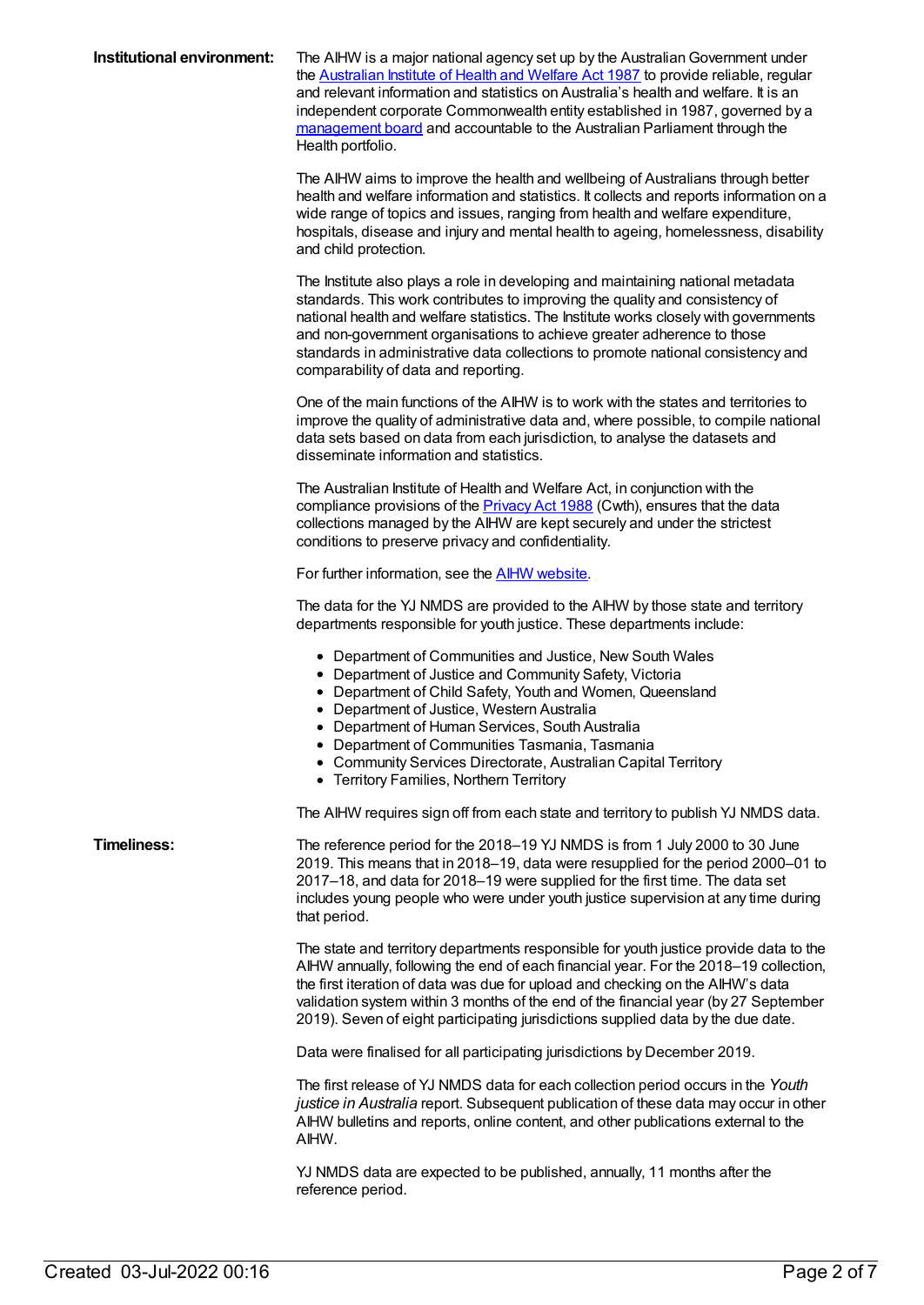| Institutional environment: | The AIHW is a major national agency set up by the Australian Government under<br>the Australian Institute of Health and Welfare Act 1987 to provide reliable, regular<br>and relevant information and statistics on Australia's health and welfare. It is an<br>independent corporate Commonwealth entity established in 1987, governed by a<br>management board and accountable to the Australian Parliament through the<br>Health portfolio.                |
|----------------------------|---------------------------------------------------------------------------------------------------------------------------------------------------------------------------------------------------------------------------------------------------------------------------------------------------------------------------------------------------------------------------------------------------------------------------------------------------------------|
|                            | The AIHW aims to improve the health and wellbeing of Australians through better<br>health and welfare information and statistics. It collects and reports information on a<br>wide range of topics and issues, ranging from health and welfare expenditure,<br>hospitals, disease and injury and mental health to ageing, homelessness, disability<br>and child protection.                                                                                   |
|                            | The Institute also plays a role in developing and maintaining national metadata<br>standards. This work contributes to improving the quality and consistency of<br>national health and welfare statistics. The Institute works closely with governments<br>and non-government organisations to achieve greater adherence to those<br>standards in administrative data collections to promote national consistency and<br>comparability of data and reporting. |
|                            | One of the main functions of the AIHW is to work with the states and territories to<br>improve the quality of administrative data and, where possible, to compile national<br>data sets based on data from each jurisdiction, to analyse the datasets and<br>disseminate information and statistics.                                                                                                                                                          |
|                            | The Australian Institute of Health and Welfare Act, in conjunction with the<br>compliance provisions of the <b>Privacy Act 1988</b> (Cwth), ensures that the data<br>collections managed by the AIHW are kept securely and under the strictest<br>conditions to preserve privacy and confidentiality.                                                                                                                                                         |
|                            | For further information, see the <b>AIHW</b> website.                                                                                                                                                                                                                                                                                                                                                                                                         |
|                            | The data for the YJ NMDS are provided to the AIHW by those state and territory<br>departments responsible for youth justice. These departments include:                                                                                                                                                                                                                                                                                                       |
|                            | • Department of Communities and Justice, New South Wales<br>• Department of Justice and Community Safety, Victoria<br>• Department of Child Safety, Youth and Women, Queensland<br>• Department of Justice, Western Australia<br>• Department of Human Services, South Australia<br><b>Department of Communities Tasmania, Tasmania</b><br>• Community Services Directorate, Australian Capital Territory<br>• Territory Families, Northern Territory         |
|                            | The AIHW requires sign off from each state and territory to publish YJ NMDS data.                                                                                                                                                                                                                                                                                                                                                                             |
| <b>Timeliness:</b>         | The reference period for the 2018-19 YJ NMDS is from 1 July 2000 to 30 June<br>2019. This means that in 2018-19, data were resupplied for the period 2000-01 to<br>2017-18, and data for 2018-19 were supplied for the first time. The data set<br>includes young people who were under youth justice supervision at any time during<br>that period.                                                                                                          |
|                            | The state and territory departments responsible for youth justice provide data to the<br>AIHW annually, following the end of each financial year. For the 2018-19 collection,<br>the first iteration of data was due for upload and checking on the AIHW's data<br>validation system within 3 months of the end of the financial year (by 27 September<br>2019). Seven of eight participating jurisdictions supplied data by the due date.                    |
|                            | Data were finalised for all participating jurisdictions by December 2019.                                                                                                                                                                                                                                                                                                                                                                                     |
|                            | The first release of YJ NMDS data for each collection period occurs in the Youth<br>justice in Australia report. Subsequent publication of these data may occur in other<br>AIHW bulletins and reports, online content, and other publications external to the<br>AIHW.                                                                                                                                                                                       |
|                            | YJ NMDS data are expected to be published, annually, 11 months after the<br>reference period.                                                                                                                                                                                                                                                                                                                                                                 |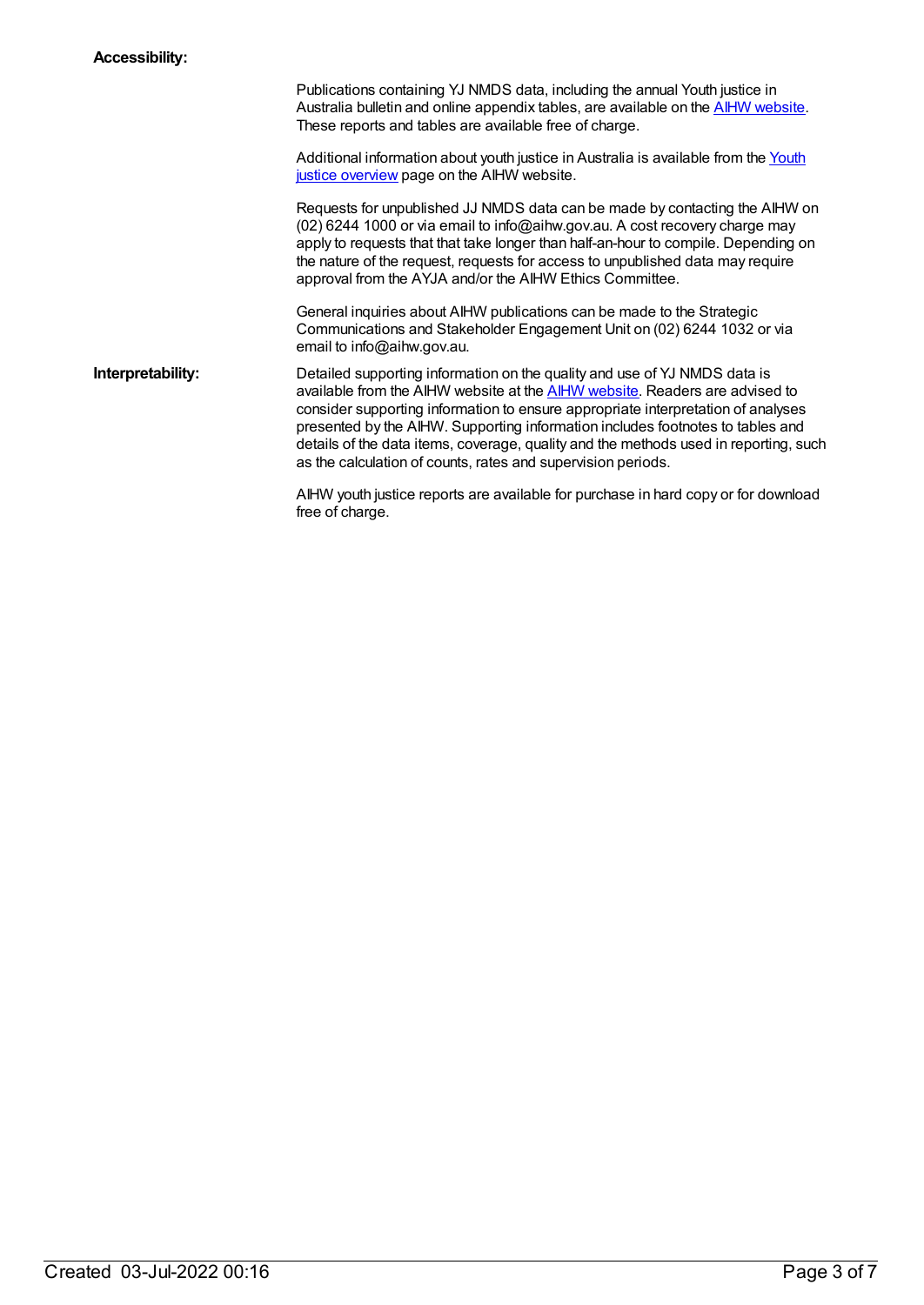| Publications containing YJ NMDS data, including the annual Youth justice in<br>Australia bulletin and online appendix tables, are available on the AIHW website.<br>These reports and tables are available free of charge. |
|----------------------------------------------------------------------------------------------------------------------------------------------------------------------------------------------------------------------------|
| Additional information about youth justice in Australia is available from the Youth<br>justice overview page on the AIHW website.                                                                                          |

Requests for unpublished JJ NMDS data can be made by contacting the AIHW on (02) 6244 1000 or via email to info@aihw.gov.au. A cost recovery charge may apply to requests that that take longer than half-an-hour to compile. Depending on the nature of the request, requests for access to unpublished data may require approval from the AYJA and/or the AIHW Ethics Committee.

General inquiries about AIHW publications can be made to the Strategic Communications and Stakeholder Engagement Unit on (02) 6244 1032 or via email to info@aihw.gov.au.

**Interpretability:** Detailed supporting information on the quality and use of YJ NMDS data is available from the AIHW website at the AIHW [website](https://www.aihw.gov.au/about-our-data/our-data-collections/juvenile-justice-national-minimum-data-set/data-quality-technical-information). Readers are advised to consider supporting information to ensure appropriate interpretation of analyses presented by the AIHW. Supporting information includes footnotes to tables and details of the data items, coverage, quality and the methods used in reporting, such as the calculation of counts, rates and supervision periods.

> AIHW youth justice reports are available for purchase in hard copy or for download free of charge.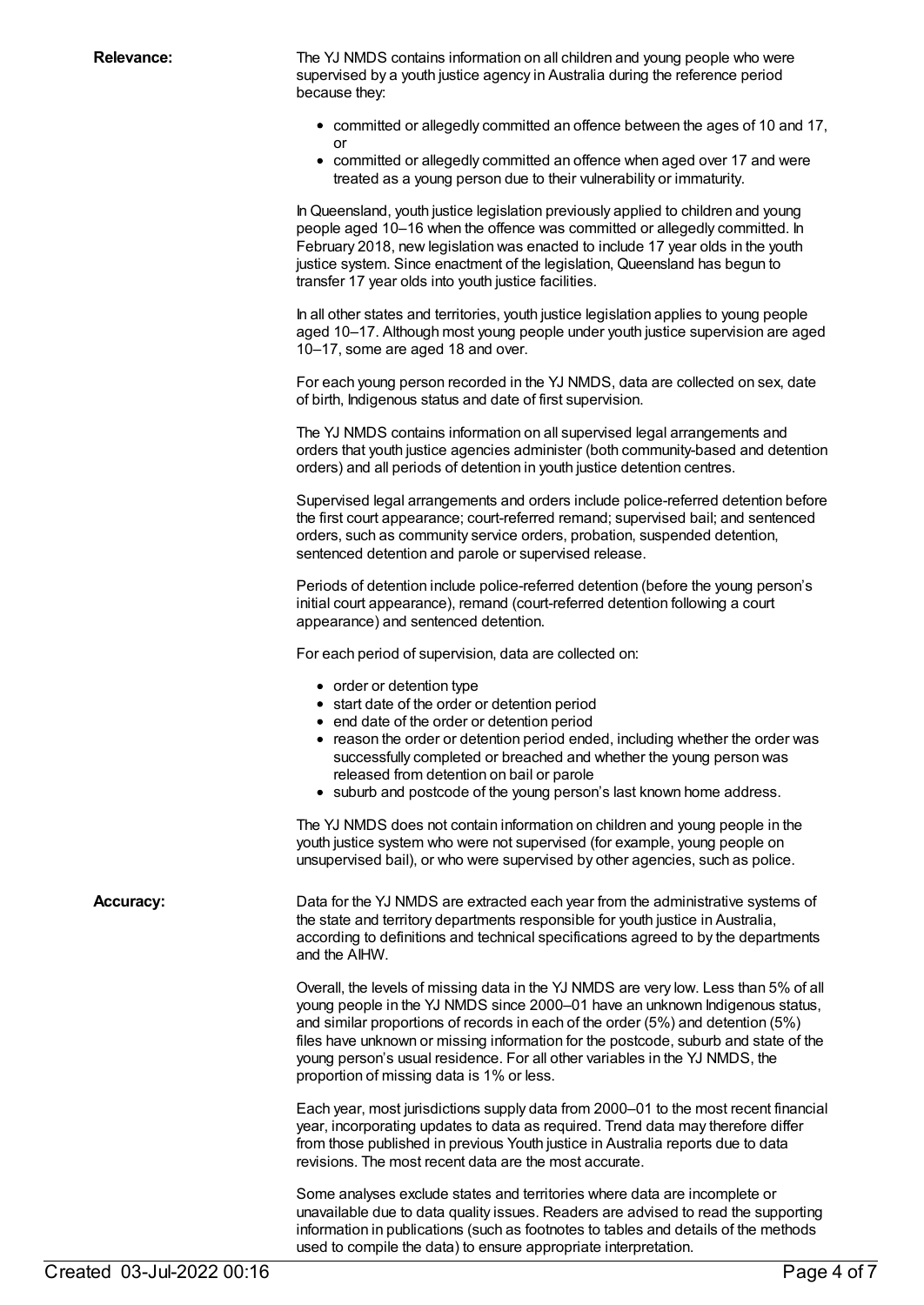**Relevance:** The YJ NMDS contains information on all children and young people who were supervised by a youth justice agency in Australia during the reference period because they:

- committed or allegedly committed an offence between the ages of 10 and 17, or
- committed or allegedly committed an offence when aged over 17 and were treated as a young person due to their vulnerability or immaturity.

InQueensland, youth justice legislation previously applied to children and young people aged 10–16 when the offence was committed or allegedly committed. In February 2018, new legislation was enacted to include 17 year olds in the youth justice system. Since enactment of the legislation, Queensland has begun to transfer 17 year olds into youth justice facilities.

In all other states and territories, youth justice legislation applies to young people aged 10–17. Although most young people under youth justice supervision are aged 10–17, some are aged 18 and over.

For each young person recorded in the YJ NMDS, data are collected on sex, date of birth, Indigenous status and date of first supervision.

The YJ NMDS contains information on all supervised legal arrangements and orders that youth justice agencies administer (both community-based and detention orders) and all periods of detention in youth justice detention centres.

Supervised legal arrangements and orders include police-referred detention before the first court appearance; court-referred remand; supervised bail; and sentenced orders, such as community service orders, probation, suspended detention, sentenced detention and parole or supervised release.

Periods of detention include police-referred detention (before the young person's initial court appearance), remand (court-referred detention following a court appearance) and sentenced detention.

For each period of supervision, data are collected on:

- order or detention type
- start date of the order or detention period
- end date of the order or detention period
- reason the order or detention period ended, including whether the order was successfully completed or breached and whether the young person was released from detention on bail or parole
- suburb and postcode of the young person's last known home address.

The YJ NMDS does not contain information on children and young people in the youth justice system who were not supervised (for example, young people on unsupervised bail), or who were supervised by other agencies, such as police.

**Accuracy:** Data for the YJ NMDS are extracted each year from the administrative systems of the state and territory departments responsible for youth justice in Australia, according to definitions and technical specifications agreed to by the departments and the AIHW.

> Overall, the levels of missing data in the YJ NMDS are very low. Less than 5% of all young people in the YJ NMDS since 2000–01 have an unknown Indigenous status, and similar proportions of records in each of the order (5%) and detention (5%) files have unknown or missing information for the postcode, suburb and state of the young person's usual residence. For all other variables in the YJ NMDS, the proportion of missing data is 1% or less.

> Each year, most jurisdictions supply data from 2000–01 to the most recent financial year, incorporating updates to data as required. Trend data may therefore differ from those published in previous Youth justice in Australia reports due to data revisions. The most recent data are the most accurate.

> Some analyses exclude states and territories where data are incomplete or unavailable due to data quality issues. Readers are advised to read the supporting information in publications (such as footnotes to tables and details of the methods used to compile the data) to ensure appropriate interpretation.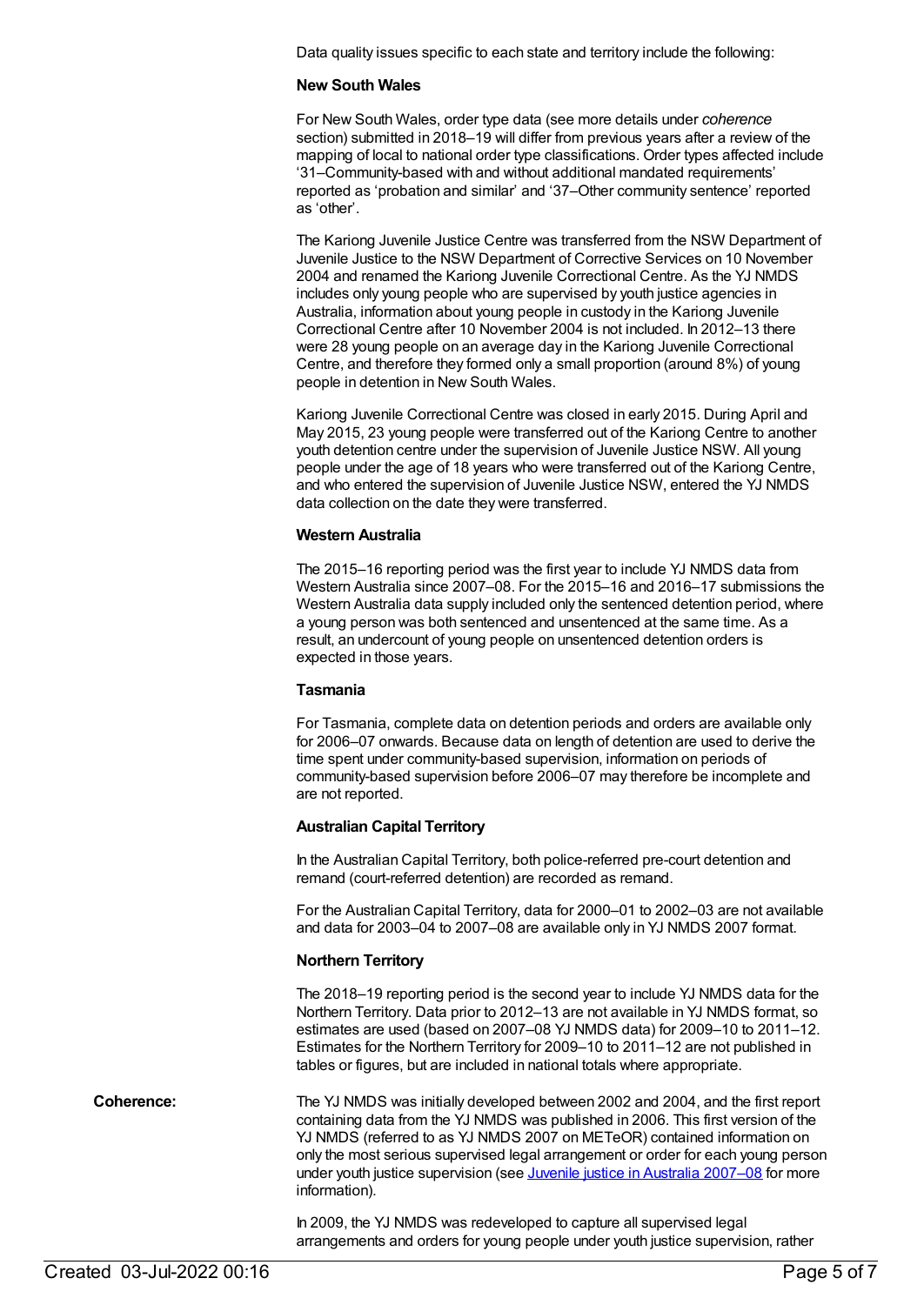Data quality issues specific to each state and territory include the following:

#### **New South Wales**

For New South Wales, order type data (see more details under *coherence* section) submitted in 2018–19 will differ from previous years after a review of the mapping of local to national order type classifications. Order types affected include '31–Community-based with and without additional mandated requirements' reported as 'probation and similar' and '37–Other community sentence' reported as 'other'.

The Kariong Juvenile Justice Centre was transferred from the NSW Department of Juvenile Justice to the NSW Department of Corrective Services on 10 November 2004 and renamed the Kariong Juvenile Correctional Centre. As the YJ NMDS includes only young people who are supervised by youth justice agencies in Australia, information about young people in custody in the Kariong Juvenile Correctional Centre after 10 November 2004 is not included. In 2012–13 there were 28 young people on an average day in the Kariong Juvenile Correctional Centre, and therefore they formed only a small proportion (around 8%) of young people in detention in New South Wales.

Kariong Juvenile Correctional Centre was closed in early 2015. During April and May 2015, 23 young people were transferred out of the Kariong Centre to another youth detention centre under the supervision of Juvenile Justice NSW. All young people under the age of 18 years who were transferred out of the Kariong Centre, and who entered the supervision of Juvenile Justice NSW, entered the YJ NMDS data collection on the date they were transferred.

#### **Western Australia**

The 2015–16 reporting period was the first year to include YJ NMDS data from Western Australia since 2007–08. For the 2015–16 and 2016–17 submissions the Western Australia data supply included only the sentenced detention period, where a young person was both sentenced and unsentenced at the same time. As a result, an undercount of young people on unsentenced detention orders is expected in those years.

#### **Tasmania**

For Tasmania, complete data on detention periods and orders are available only for 2006–07 onwards. Because data on length of detention are used to derive the time spent under community-based supervision, information on periods of community-based supervision before 2006–07 may therefore be incomplete and are not reported.

#### **Australian Capital Territory**

In the Australian Capital Territory, both police-referred pre-court detention and remand (court-referred detention) are recorded as remand.

For the Australian Capital Territory, data for 2000–01 to 2002–03 are not available and data for 2003–04 to 2007–08 are available only in YJ NMDS 2007 format.

#### **Northern Territory**

The 2018–19 reporting period is the second year to include YJ NMDS data for the Northern Territory. Data prior to 2012–13 are not available in YJ NMDS format, so estimates are used (based on 2007–08 YJ NMDS data) for 2009–10 to 2011–12. Estimates for the Northern Territory for 2009–10 to 2011–12 are not published in tables or figures, but are included in national totals where appropriate.

**Coherence:** The YJ NMDS was initially developed between 2002 and 2004, and the first report containing data from the YJ NMDS was published in 2006. This first version of the YJ NMDS (referred to as YJ NMDS 2007 on METeOR) contained information on only the most serious supervised legal arrangement or order for each young person under youth justice supervision (see Juvenile justice in Australia 2007-08 for more information).

> In 2009, the YJ NMDS was redeveloped to capture all supervised legal arrangements and orders for young people under youth justice supervision, rather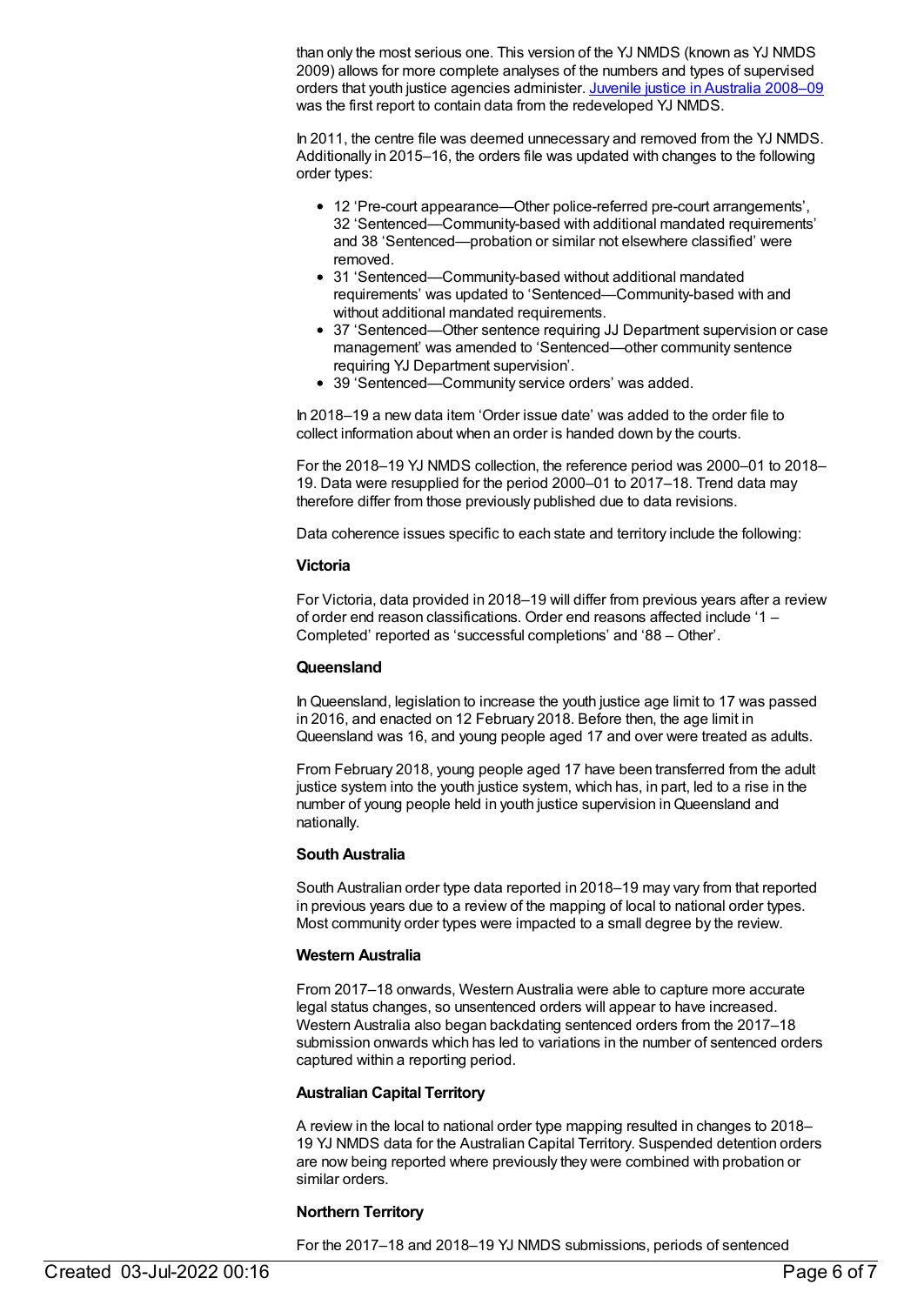than only the most serious one. This version of the YJ NMDS (known as YJ NMDS 2009) allows for more complete analyses of the numbers and types of supervised orders that youth justice agencies administer. Juvenile justice in [Australia](http://www.aihw.gov.au/publication-detail/?id=10737418606) 2008–09 was the first report to contain data from the redeveloped YJ NMDS.

In 2011, the centre file was deemed unnecessary and removed from the YJ NMDS. Additionally in 2015–16, the orders file was updated with changes to the following order types:

- 12 'Pre-court appearance—Other police-referred pre-court arrangements', 32 'Sentenced—Community-based with additional mandated requirements' and 38 'Sentenced—probation or similar not elsewhere classified' were removed.
- 31 'Sentenced—Community-based without additional mandated requirements' was updated to 'Sentenced—Community-based with and without additional mandated requirements.
- 37 'Sentenced—Other sentence requiring JJ Department supervision or case management' was amended to 'Sentenced—other community sentence requiring YJ Department supervision'.
- 39 'Sentenced—Community service orders' was added.

In 2018–19 a new data item 'Order issue date' was added to the order file to collect information about when an order is handed down by the courts.

For the 2018–19 YJ NMDS collection, the reference period was 2000–01 to 2018– 19. Data were resupplied for the period 2000–01 to 2017–18. Trend data may therefore differ from those previously published due to data revisions.

Data coherence issues specific to each state and territory include the following:

#### **Victoria**

For Victoria, data provided in 2018–19 will differ from previous years after a review of order end reason classifications. Order end reasons affected include '1 – Completed' reported as 'successful completions' and '88 – Other'.

#### **Queensland**

InQueensland, legislation to increase the youth justice age limit to 17 was passed in 2016, and enacted on 12 February 2018. Before then, the age limit in Queensland was 16, and young people aged 17 and over were treated as adults.

From February 2018, young people aged 17 have been transferred from the adult justice system into the youth justice system, which has, in part, led to a rise in the number of young people held in youth justice supervision inQueensland and nationally.

#### **South Australia**

South Australian order type data reported in 2018–19 may vary from that reported in previous years due to a review of the mapping of local to national order types. Most community order types were impacted to a small degree by the review.

#### **Western Australia**

From 2017–18 onwards, Western Australia were able to capture more accurate legal status changes, so unsentenced orders will appear to have increased. Western Australia also began backdating sentenced orders from the 2017–18 submission onwards which has led to variations in the number of sentenced orders captured within a reporting period.

### **Australian Capital Territory**

A review in the local to national order type mapping resulted in changes to 2018– 19 YJ NMDS data for the Australian Capital Territory. Suspended detention orders are now being reported where previously they were combined with probation or similar orders.

#### **Northern Territory**

For the 2017–18 and 2018–19 YJ NMDS submissions, periods of sentenced